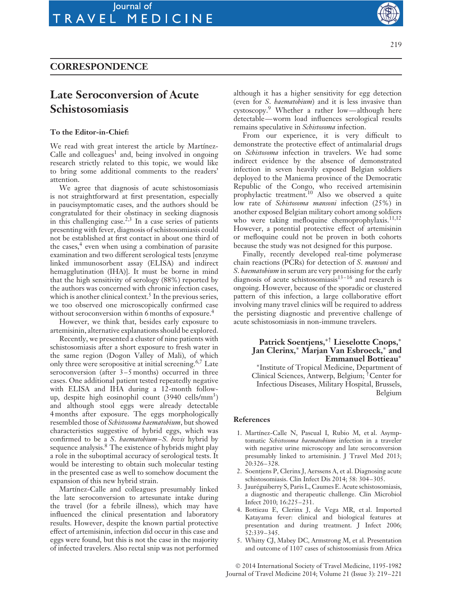## **CORRESPONDENCE**

# **Late Seroconversion of Acute Schistosomiasis**

#### **To the Editor-in-Chief:**

We read with great interest the article by Martínez-Calle and colleagues<sup>1</sup> and, being involved in ongoing research strictly related to this topic, we would like to bring some additional comments to the readers' attention.

We agree that diagnosis of acute schistosomiasis is not straightforward at first presentation, especially in paucisymptomatic cases, and the authors should be congratulated for their obstinacy in seeking diagnosis in this challenging case.<sup>2,3</sup> In a case series of patients presenting with fever, diagnosis of schistosomiasis could not be established at first contact in about one third of the cases, $4$  even when using a combination of parasite examination and two different serological tests [enzyme linked immunosorbent assay (ELISA) and indirect hemagglutination (IHA)]. It must be borne in mind that the high sensitivity of serology (88%) reported by the authors was concerned with chronic infection cases, which is another clinical context.<sup>5</sup> In the previous series, we too observed one microscopically confirmed case without seroconversion within 6 months of exposure.<sup>4</sup>

However, we think that, besides early exposure to artemisinin, alternative explanations should be explored.

Recently, we presented a cluster of nine patients with schistosomiasis after a short exposure to fresh water in the same region (Dogon Valley of Mali), of which only three were seropositive at initial screening.<sup>6,7</sup> Late seroconversion (after 3–5 months) occurred in three cases. One additional patient tested repeatedly negative with ELISA and IHA during a 12-month followup, despite high eosinophil count  $(3940 \text{ cells/mm}^3)$ and although stool eggs were already detectable 4 months after exposure. The eggs morphologically resembled those of *Schistosoma haematobium*, but showed characteristics suggestive of hybrid eggs, which was confirmed to be a *S*. *haematobium–S. bovis* hybrid by sequence analysis.<sup>8</sup> The existence of hybrids might play a role in the suboptimal accuracy of serological tests. It would be interesting to obtain such molecular testing in the presented case as well to somehow document the expansion of this new hybrid strain.

Martínez-Calle and colleagues presumably linked the late seroconversion to artesunate intake during the travel (for a febrile illness), which may have influenced the clinical presentation and laboratory results. However, despite the known partial protective effect of artemisinin, infection did occur in this case and eggs were found, but this is not the case in the majority of infected travelers. Also rectal snip was not performed

219

S ר

v

although it has a higher sensitivity for egg detection (even for *S*. *haematobium*) and it is less invasive than cystoscopy.9 Whether a rather low—although here detectable—worm load influences serological results remains speculative in *Schistosoma* infection.

From our experience, it is very difficult to demonstrate the protective effect of antimalarial drugs on *Schistosoma* infection in travelers. We had some indirect evidence by the absence of demonstrated infection in seven heavily exposed Belgian soldiers deployed to the Maniema province of the Democratic Republic of the Congo, who received artemisinin prophylactic treatment.<sup>10</sup> Also we observed a quite low rate of *Schistosoma mansoni* infection (25%) in another exposed Belgian military cohort among soldiers who were taking mefloquine chemoprophylaxis.<sup>11,12</sup> However, a potential protective effect of artemisinin or mefloquine could not be proven in both cohorts because the study was not designed for this purpose.

Finally, recently developed real-time polymerase chain reactions (PCRs) for detection of *S*. *mansoni* and *S*. *haematobium* in serum are very promising for the early diagnosis of acute schistosomiasis<sup>13-16</sup> and research is ongoing. However, because of the sporadic or clustered pattern of this infection, a large collaborative effort involving many travel clinics will be required to address the persisting diagnostic and preventive challenge of acute schistosomiasis in non-immune travelers.

### **Patrick Soentjens,**∗† **Lieselotte Cnops,**<sup>∗</sup> **Jan Clerinx,**∗ **Marjan Van Esbroeck,**∗ **and Emmanuel Bottieau**∗

∗Institute of Tropical Medicine, Department of Clinical Sciences, Antwerp, Belgium; †Center for Infectious Diseases, Military Hospital, Brussels, Belgium

#### **References**

- 1. Martínez-Calle N, Pascual I, Rubio M, et al. Asymptomatic *Schistosoma haematobium* infection in a traveler with negative urine microscopy and late seroconversion presumably linked to artemisinin. J Travel Med 2013; 20:326–328.
- 2. Soentjens P, Clerinx J, Aerssens A, et al. Diagnosing acute schistosomiasis. Clin Infect Dis 2014; 58: 304–305.
- 3. Jaureguiberry S, Paris L, Caumes E. Acute schistosomiasis, ´ a diagnostic and therapeutic challenge. Clin Microbiol Infect 2010; 16:225–231.
- 4. Bottieau E, Clerinx J, de Vega MR, et al. Imported Katayama fever: clinical and biological features at presentation and during treatment. J Infect 2006; 52:339–345.
- 5. Whitty CJ, Mabey DC, Armstrong M, et al. Presentation and outcome of 1107 cases of schistosomiasis from Africa

© 2014 International Society of Travel Medicine, 1195-1982 Journal of Travel Medicine 2014; Volume 21 (Issue 3): 219–221